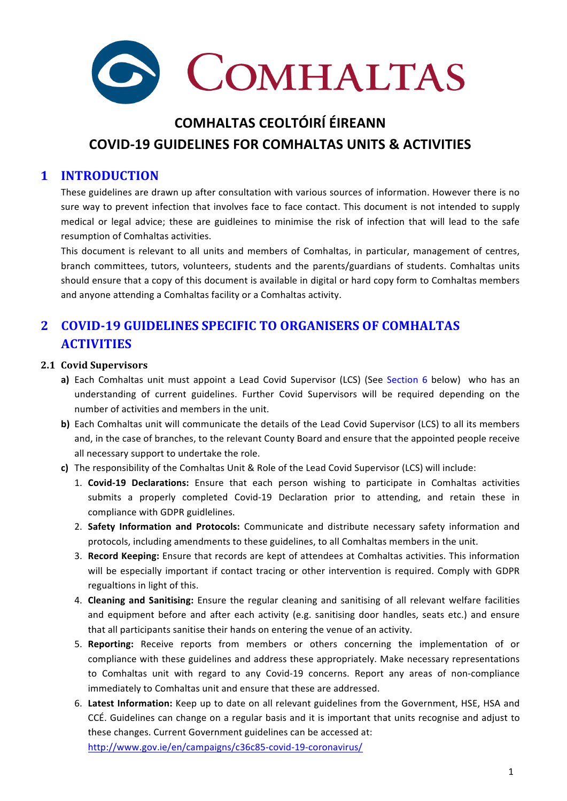

# **COMHALTAS CEOLTÓIRÍ ÉIREANN COVID-19 GUIDELINES FOR COMHALTAS UNITS & ACTIVITIES**

## **1 INTRODUCTION**

These guidelines are drawn up after consultation with various sources of information. However there is no sure way to prevent infection that involves face to face contact. This document is not intended to supply medical or legal advice; these are guidleines to minimise the risk of infection that will lead to the safe resumption of Comhaltas activities.

This document is relevant to all units and members of Comhaltas, in particular, management of centres, branch committees, tutors, volunteers, students and the parents/guardians of students. Comhaltas units should ensure that a copy of this document is available in digital or hard copy form to Comhaltas members and anyone attending a Comhaltas facility or a Comhaltas activity.

# **2 COVID-19 GUIDELINES SPECIFIC TO ORGANISERS OF COMHALTAS ACTIVITIES**

#### **2.1 Covid Supervisors**

- **a)** Each Comhaltas unit must appoint a Lead Covid Supervisor (LCS) (See Section 6 below) who has an understanding of current guidelines. Further Covid Supervisors will be required depending on the number of activities and members in the unit.
- **b)** Each Comhaltas unit will communicate the details of the Lead Covid Supervisor (LCS) to all its members and, in the case of branches, to the relevant County Board and ensure that the appointed people receive all necessary support to undertake the role.
- **c)** The responsibility of the Comhaltas Unit & Role of the Lead Covid Supervisor (LCS) will include:
	- 1. **Covid-19 Declarations:** Ensure that each person wishing to participate in Comhaltas activities submits a properly completed Covid-19 Declaration prior to attending, and retain these in compliance with GDPR guidlelines.
	- 2. **Safety Information and Protocols:** Communicate and distribute necessary safety information and protocols, including amendments to these guidelines, to all Comhaltas members in the unit.
	- 3. Record Keeping: Ensure that records are kept of attendees at Comhaltas activities. This information will be especially important if contact tracing or other intervention is required. Comply with GDPR regualtions in light of this.
	- 4. **Cleaning and Sanitising:** Ensure the regular cleaning and sanitising of all relevant welfare facilities and equipment before and after each activity (e.g. sanitising door handles, seats etc.) and ensure that all participants sanitise their hands on entering the venue of an activity.
	- 5. Reporting: Receive reports from members or others concerning the implementation of or compliance with these guidelines and address these appropriately. Make necessary representations to Comhaltas unit with regard to any Covid-19 concerns. Report any areas of non-compliance immediately to Comhaltas unit and ensure that these are addressed.
	- 6. Latest Information: Keep up to date on all relevant guidelines from the Government, HSE, HSA and CCÉ. Guidelines can change on a regular basis and it is important that units recognise and adjust to these changes. Current Government guidelines can be accessed at: http://www.gov.ie/en/campaigns/c36c85-covid-19-coronavirus/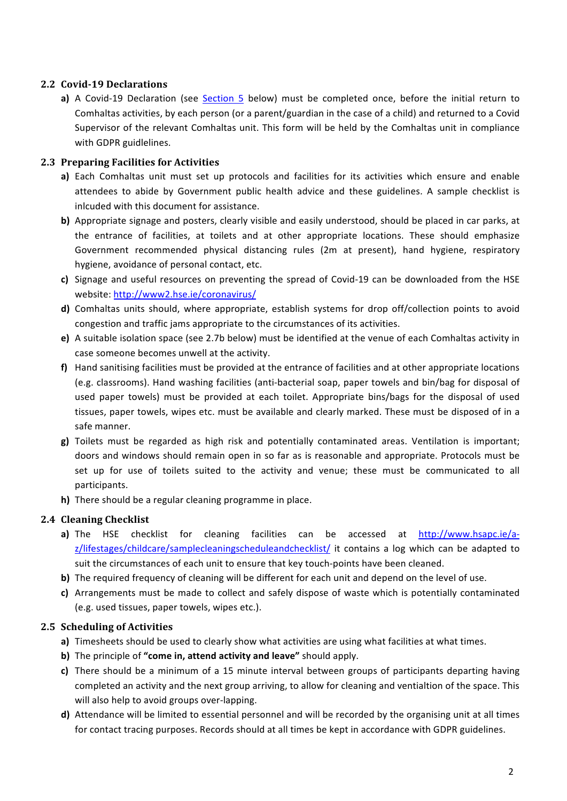### **2.2 Covid-19 Declarations**

**a)** A Covid-19 Declaration (see **Section 5** below) must be completed once, before the initial return to Comhaltas activities, by each person (or a parent/guardian in the case of a child) and returned to a Covid Supervisor of the relevant Comhaltas unit. This form will be held by the Comhaltas unit in compliance with GDPR guidlelines.

#### **2.3 Preparing Facilities for Activities**

- a) Each Comhaltas unit must set up protocols and facilities for its activities which ensure and enable attendees to abide by Government public health advice and these guidelines. A sample checklist is inlcuded with this document for assistance.
- **b)** Appropriate signage and posters, clearly visible and easily understood, should be placed in car parks, at the entrance of facilities, at toilets and at other appropriate locations. These should emphasize Government recommended physical distancing rules (2m at present), hand hygiene, respiratory hygiene, avoidance of personal contact, etc.
- **c)** Signage and useful resources on preventing the spread of Covid-19 can be downloaded from the HSE website: http://www2.hse.ie/coronavirus/
- **d)** Comhaltas units should, where appropriate, establish systems for drop off/collection points to avoid congestion and traffic jams appropriate to the circumstances of its activities.
- **e)** A suitable isolation space (see 2.7b below) must be identified at the venue of each Comhaltas activity in case someone becomes unwell at the activity.
- **f)** Hand sanitising facilities must be provided at the entrance of facilities and at other appropriate locations (e.g. classrooms). Hand washing facilities (anti-bacterial soap, paper towels and bin/bag for disposal of used paper towels) must be provided at each toilet. Appropriate bins/bags for the disposal of used tissues, paper towels, wipes etc. must be available and clearly marked. These must be disposed of in a safe manner.
- **g)** Toilets must be regarded as high risk and potentially contaminated areas. Ventilation is important; doors and windows should remain open in so far as is reasonable and appropriate. Protocols must be set up for use of toilets suited to the activity and venue; these must be communicated to all participants.
- **h)** There should be a regular cleaning programme in place.

#### **2.4 Cleaning Checklist**

- **a)** The HSE checklist for cleaning facilities can be accessed at http://www.hsapc.ie/az/lifestages/childcare/samplecleaningscheduleandchecklist/ it contains a log which can be adapted to suit the circumstances of each unit to ensure that key touch-points have been cleaned.
- **b)** The required frequency of cleaning will be different for each unit and depend on the level of use.
- **c)** Arrangements must be made to collect and safely dispose of waste which is potentially contaminated (e.g. used tissues, paper towels, wipes etc.).

#### **2.5 Scheduling of Activities**

- **a)** Timesheets should be used to clearly show what activities are using what facilities at what times.
- **b)** The principle of "come in, attend activity and leave" should apply.
- c) There should be a minimum of a 15 minute interval between groups of participants departing having completed an activity and the next group arriving, to allow for cleaning and ventialtion of the space. This will also help to avoid groups over-lapping.
- **d**) Attendance will be limited to essential personnel and will be recorded by the organising unit at all times for contact tracing purposes. Records should at all times be kept in accordance with GDPR guidelines.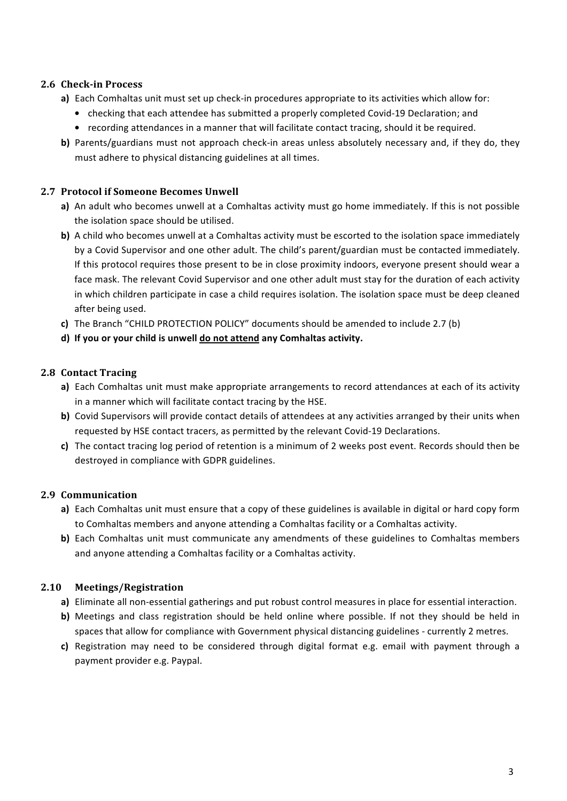### **2.6 Check-in Process**

- **a)** Each Comhaltas unit must set up check-in procedures appropriate to its activities which allow for:
	- checking that each attendee has submitted a properly completed Covid-19 Declaration; and
	- recording attendances in a manner that will facilitate contact tracing, should it be required.
- **b)** Parents/guardians must not approach check-in areas unless absolutely necessary and, if they do, they must adhere to physical distancing guidelines at all times.

### **2.7 Protocol if Someone Becomes Unwell**

- **a)** An adult who becomes unwell at a Comhaltas activity must go home immediately. If this is not possible the isolation space should be utilised.
- **b)** A child who becomes unwell at a Comhaltas activity must be escorted to the isolation space immediately by a Covid Supervisor and one other adult. The child's parent/guardian must be contacted immediately. If this protocol requires those present to be in close proximity indoors, everyone present should wear a face mask. The relevant Covid Supervisor and one other adult must stay for the duration of each activity in which children participate in case a child requires isolation. The isolation space must be deep cleaned after being used.
- **c)** The Branch "CHILD PROTECTION POLICY" documents should be amended to include 2.7 (b)
- d) If you or your child is unwell do not attend any Comhaltas activity.

## **2.8 Contact Tracing**

- **a)** Each Comhaltas unit must make appropriate arrangements to record attendances at each of its activity in a manner which will facilitate contact tracing by the HSE.
- **b)** Covid Supervisors will provide contact details of attendees at any activities arranged by their units when requested by HSE contact tracers, as permitted by the relevant Covid-19 Declarations.
- **c)** The contact tracing log period of retention is a minimum of 2 weeks post event. Records should then be destroyed in compliance with GDPR guidelines.

## **2.9 Communication**

- a) Each Comhaltas unit must ensure that a copy of these guidelines is available in digital or hard copy form to Comhaltas members and anyone attending a Comhaltas facility or a Comhaltas activity.
- **b**) Each Comhaltas unit must communicate any amendments of these guidelines to Comhaltas members and anyone attending a Comhaltas facility or a Comhaltas activity.

## **2.10 Meetings/Registration**

- a) Eliminate all non-essential gatherings and put robust control measures in place for essential interaction.
- **b)** Meetings and class registration should be held online where possible. If not they should be held in spaces that allow for compliance with Government physical distancing guidelines - currently 2 metres.
- **c)** Registration may need to be considered through digital format e.g. email with payment through a payment provider e.g. Paypal.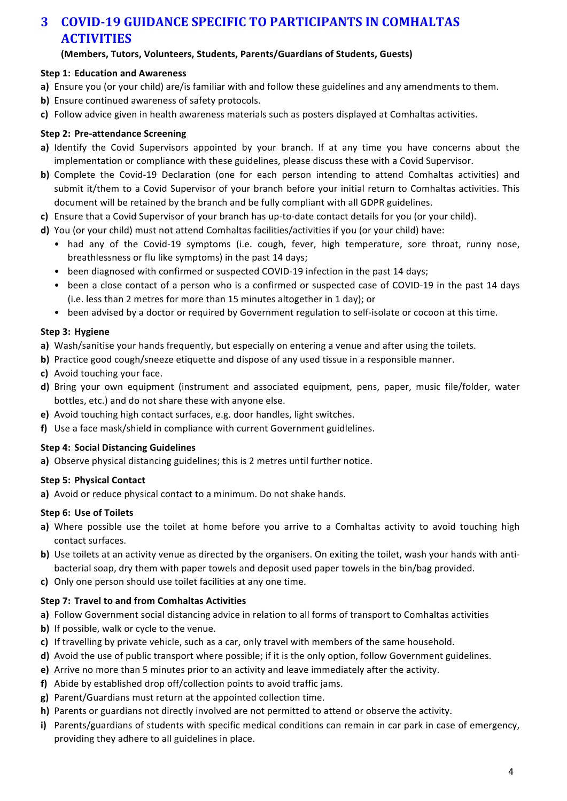## **3 COVID-19 GUIDANCE SPECIFIC TO PARTICIPANTS IN COMHALTAS ACTIVITIES**

#### **(Members, Tutors, Volunteers, Students, Parents/Guardians of Students, Guests)**

#### **Step 1: Education and Awareness**

- **a)** Ensure you (or your child) are/is familiar with and follow these guidelines and any amendments to them.
- **b)** Ensure continued awareness of safety protocols.
- **c)** Follow advice given in health awareness materials such as posters displayed at Comhaltas activities.

#### **Step 2: Pre-attendance Screening**

- **a)** Identify the Covid Supervisors appointed by your branch. If at any time you have concerns about the implementation or compliance with these guidelines, please discuss these with a Covid Supervisor.
- **b)** Complete the Covid-19 Declaration (one for each person intending to attend Comhaltas activities) and submit it/them to a Covid Supervisor of your branch before your initial return to Comhaltas activities. This document will be retained by the branch and be fully compliant with all GDPR guidelines.
- **c)** Ensure that a Covid Supervisor of your branch has up-to-date contact details for you (or your child).
- **d)** You (or your child) must not attend Comhaltas facilities/activities if you (or your child) have:
	- had any of the Covid-19 symptoms (i.e. cough, fever, high temperature, sore throat, runny nose, breathlessness or flu like symptoms) in the past 14 days;
	- been diagnosed with confirmed or suspected COVID-19 infection in the past 14 days;
	- been a close contact of a person who is a confirmed or suspected case of COVID-19 in the past 14 days (i.e. less than 2 metres for more than 15 minutes altogether in 1 day); or
	- been advised by a doctor or required by Government regulation to self-isolate or cocoon at this time.

#### **Step 3: Hygiene**

- **a)** Wash/sanitise your hands frequently, but especially on entering a venue and after using the toilets.
- **b)** Practice good cough/sneeze etiquette and dispose of any used tissue in a responsible manner.
- **c)** Avoid touching your face.
- **d)** Bring your own equipment (instrument and associated equipment, pens, paper, music file/folder, water bottles, etc.) and do not share these with anyone else.
- **e)** Avoid touching high contact surfaces, e.g. door handles, light switches.
- f) Use a face mask/shield in compliance with current Government guidlelines.

#### **Step 4: Social Distancing Guidelines**

**a)** Observe physical distancing guidelines; this is 2 metres until further notice.

#### **Step 5: Physical Contact**

a) Avoid or reduce physical contact to a minimum. Do not shake hands.

#### **Step 6: Use of Toilets**

- **a)** Where possible use the toilet at home before you arrive to a Comhaltas activity to avoid touching high contact surfaces.
- **b)** Use toilets at an activity venue as directed by the organisers. On exiting the toilet, wash your hands with antibacterial soap, dry them with paper towels and deposit used paper towels in the bin/bag provided.
- **c)** Only one person should use toilet facilities at any one time.

#### **Step 7: Travel to and from Comhaltas Activities**

- **a)** Follow Government social distancing advice in relation to all forms of transport to Comhaltas activities
- **b)** If possible, walk or cycle to the venue.
- **c)** If travelling by private vehicle, such as a car, only travel with members of the same household.
- **d)** Avoid the use of public transport where possible; if it is the only option, follow Government guidelines.
- **e)** Arrive no more than 5 minutes prior to an activity and leave immediately after the activity.
- f) Abide by established drop off/collection points to avoid traffic jams.
- **g)** Parent/Guardians must return at the appointed collection time.
- **h)** Parents or guardians not directly involved are not permitted to attend or observe the activity.
- **i)** Parents/guardians of students with specific medical conditions can remain in car park in case of emergency, providing they adhere to all guidelines in place.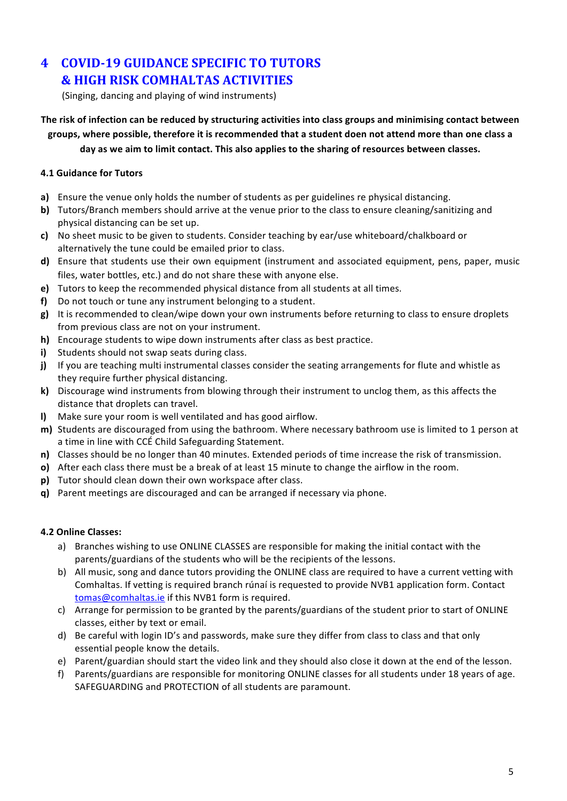## **4 COVID-19 GUIDANCE SPECIFIC TO TUTORS & HIGH RISK COMHALTAS ACTIVITIES**

(Singing, dancing and playing of wind instruments)

The risk of infection can be reduced by structuring activities into class groups and minimising contact between groups, where possible, therefore it is recommended that a student doen not attend more than one class a day as we aim to limit contact. This also applies to the sharing of resources between classes.

### **4.1 Guidance for Tutors**

- **a)** Ensure the venue only holds the number of students as per guidelines re physical distancing.
- **b)** Tutors/Branch members should arrive at the venue prior to the class to ensure cleaning/sanitizing and physical distancing can be set up.
- **c)** No sheet music to be given to students. Consider teaching by ear/use whiteboard/chalkboard or alternatively the tune could be emailed prior to class.
- **d)** Ensure that students use their own equipment (instrument and associated equipment, pens, paper, music files, water bottles, etc.) and do not share these with anyone else.
- **e)** Tutors to keep the recommended physical distance from all students at all times.
- **f)** Do not touch or tune any instrument belonging to a student.
- **g)** It is recommended to clean/wipe down your own instruments before returning to class to ensure droplets from previous class are not on your instrument.
- **h)** Encourage students to wipe down instruments after class as best practice.
- **i)** Students should not swap seats during class.
- **j)** If you are teaching multi instrumental classes consider the seating arrangements for flute and whistle as they require further physical distancing.
- k) Discourage wind instruments from blowing through their instrument to unclog them, as this affects the distance that droplets can travel.
- **l)** Make sure your room is well ventilated and has good airflow.
- **m)** Students are discouraged from using the bathroom. Where necessary bathroom use is limited to 1 person at a time in line with CCÉ Child Safeguarding Statement.
- **n)** Classes should be no longer than 40 minutes. Extended periods of time increase the risk of transmission.
- **o)** After each class there must be a break of at least 15 minute to change the airflow in the room.
- **p)** Tutor should clean down their own workspace after class.
- **q)** Parent meetings are discouraged and can be arranged if necessary via phone.

#### **4.2 Online Classes:**

- a) Branches wishing to use ONLINE CLASSES are responsible for making the initial contact with the parents/guardians of the students who will be the recipients of the lessons.
- b) All music, song and dance tutors providing the ONLINE class are required to have a current vetting with Comhaltas. If vetting is required branch rúnaí is requested to provide NVB1 application form. Contact tomas@comhaltas.ie if this NVB1 form is required.
- c) Arrange for permission to be granted by the parents/guardians of the student prior to start of ONLINE classes, either by text or email.
- d) Be careful with login ID's and passwords, make sure they differ from class to class and that only essential people know the details.
- e) Parent/guardian should start the video link and they should also close it down at the end of the lesson.
- f) Parents/guardians are responsible for monitoring ONLINE classes for all students under 18 years of age. SAFEGUARDING and PROTECTION of all students are paramount.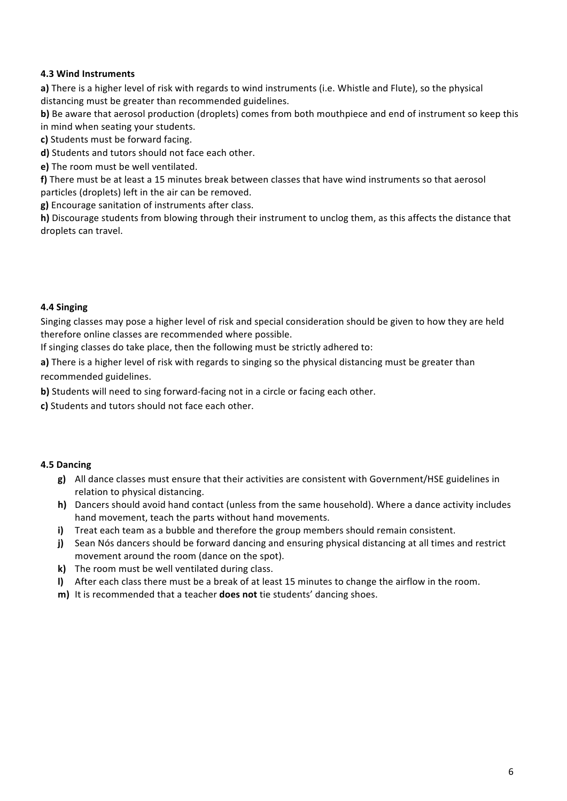#### **4.3 Wind Instruments**

**a)** There is a higher level of risk with regards to wind instruments (i.e. Whistle and Flute), so the physical distancing must be greater than recommended guidelines.

**b)** Be aware that aerosol production (droplets) comes from both mouthpiece and end of instrument so keep this in mind when seating your students.

**c)** Students must be forward facing.

**d)** Students and tutors should not face each other.

**e)** The room must be well ventilated.

f) There must be at least a 15 minutes break between classes that have wind instruments so that aerosol particles (droplets) left in the air can be removed.

**g)** Encourage sanitation of instruments after class.

**h)** Discourage students from blowing through their instrument to unclog them, as this affects the distance that droplets can travel.

#### **4.4 Singing**

Singing classes may pose a higher level of risk and special consideration should be given to how they are held therefore online classes are recommended where possible.

If singing classes do take place, then the following must be strictly adhered to:

**a)** There is a higher level of risk with regards to singing so the physical distancing must be greater than recommended guidelines.

**b)** Students will need to sing forward-facing not in a circle or facing each other.

**c)** Students and tutors should not face each other.

#### **4.5 Dancing**

- **g)** All dance classes must ensure that their activities are consistent with Government/HSE guidelines in relation to physical distancing.
- **h)** Dancers should avoid hand contact (unless from the same household). Where a dance activity includes hand movement, teach the parts without hand movements.
- **i)** Treat each team as a bubble and therefore the group members should remain consistent.
- **j)** Sean Nós dancers should be forward dancing and ensuring physical distancing at all times and restrict movement around the room (dance on the spot).
- **k)** The room must be well ventilated during class.
- **l)** After each class there must be a break of at least 15 minutes to change the airflow in the room.
- **m)** It is recommended that a teacher **does not** tie students' dancing shoes.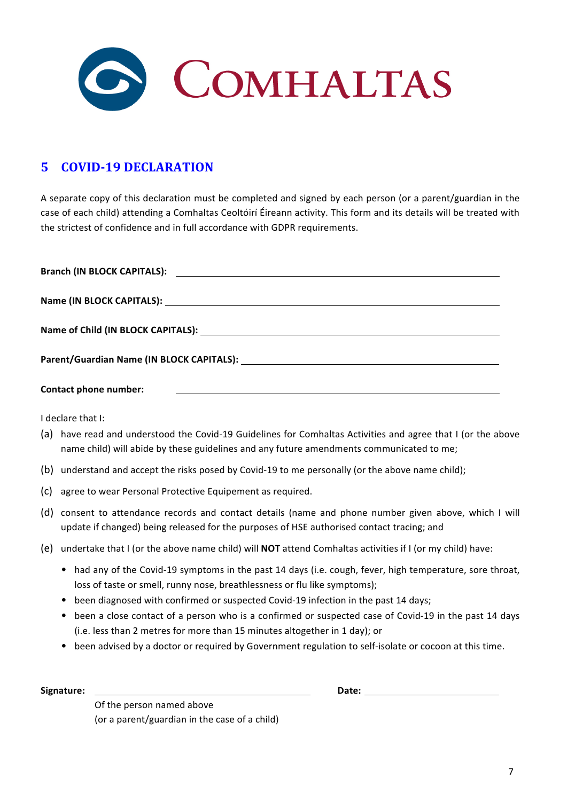

## **5 COVID-19 DECLARATION**

A separate copy of this declaration must be completed and signed by each person (or a parent/guardian in the case of each child) attending a Comhaltas Ceoltóirí Éireann activity. This form and its details will be treated with the strictest of confidence and in full accordance with GDPR requirements.

| Parent/Guardian Name (IN BLOCK CAPITALS): New York Capital Control of the Capital Control of the Capital Control of the Capital Control of the Capital Control of the Capital Control of the Capital Control of the Capital Co |
|--------------------------------------------------------------------------------------------------------------------------------------------------------------------------------------------------------------------------------|
| Contact phone number:                                                                                                                                                                                                          |

I declare that I:

- (a) have read and understood the Covid-19 Guidelines for Comhaltas Activities and agree that I (or the above name child) will abide by these guidelines and any future amendments communicated to me;
- (b) understand and accept the risks posed by Covid-19 to me personally (or the above name child);
- (c) agree to wear Personal Protective Equipement as required.
- (d) consent to attendance records and contact details (name and phone number given above, which I will update if changed) being released for the purposes of HSE authorised contact tracing; and
- (e) undertake that I (or the above name child) will **NOT** attend Comhaltas activities if I (or my child) have:
	- had any of the Covid-19 symptoms in the past 14 days (i.e. cough, fever, high temperature, sore throat, loss of taste or smell, runny nose, breathlessness or flu like symptoms);
	- been diagnosed with confirmed or suspected Covid-19 infection in the past 14 days;
	- been a close contact of a person who is a confirmed or suspected case of Covid-19 in the past 14 days (i.e. less than 2 metres for more than 15 minutes altogether in 1 day); or
	- been advised by a doctor or required by Government regulation to self-isolate or cocoon at this time.

**Signature: Date:**

Of the person named above (or a parent/guardian in the case of a child)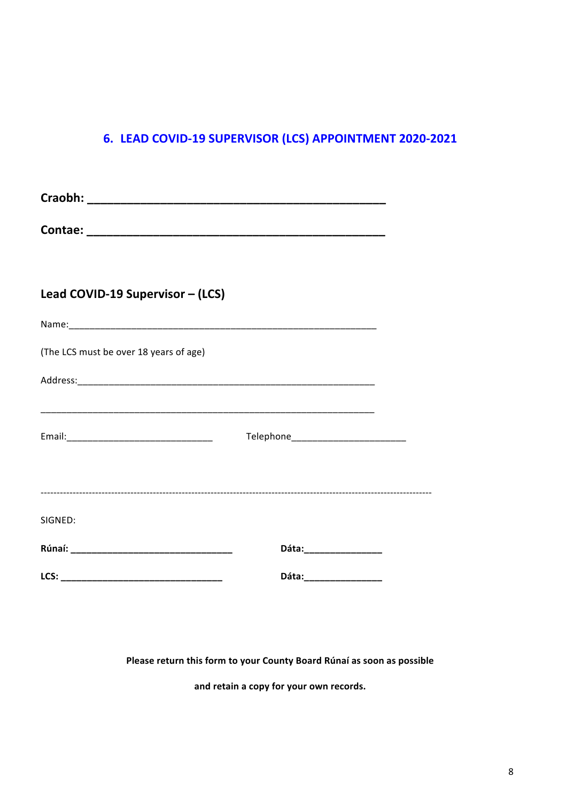# 6. LEAD COVID-19 SUPERVISOR (LCS) APPOINTMENT 2020-2021

| Lead COVID-19 Supervisor - (LCS)                                                                                      |                                      |  |
|-----------------------------------------------------------------------------------------------------------------------|--------------------------------------|--|
|                                                                                                                       |                                      |  |
| (The LCS must be over 18 years of age)                                                                                |                                      |  |
|                                                                                                                       |                                      |  |
| <u> 1989 - Johann Harry Harry Harry Harry Harry Harry Harry Harry Harry Harry Harry Harry Harry Harry Harry Harry</u> |                                      |  |
|                                                                                                                       | Telephone___________________________ |  |
|                                                                                                                       |                                      |  |
|                                                                                                                       |                                      |  |
| SIGNED:                                                                                                               |                                      |  |
|                                                                                                                       | Dáta:________________                |  |
|                                                                                                                       | Dáta:_________________               |  |

## Please return this form to your County Board Rúnaí as soon as possible

and retain a copy for your own records.